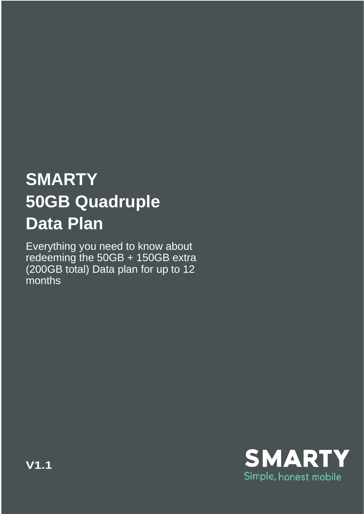## **SMARTY 50GB Quadruple Data Plan**

Everything you need to know about redeeming the 50GB + 150GB extra (200GB total) Data plan for up to 12 months

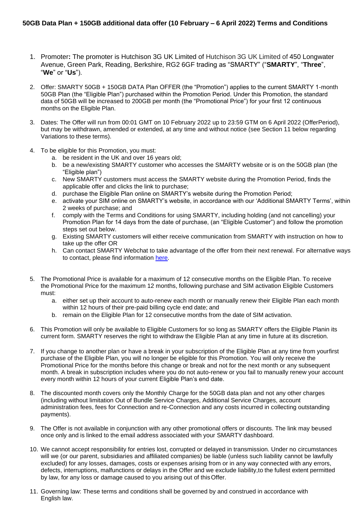- 1. Promoter**:** The promoter is Hutchison 3G UK Limited of Hutchison 3G UK Limited of 450 Longwater Avenue, Green Park, Reading, Berkshire, RG2 6GF trading as "SMARTY" ("**SMARTY**", "**Three**", "**We**" or "**Us**").
- 2. Offer: SMARTY 50GB + 150GB DATA Plan OFFER (the "Promotion") applies to the current SMARTY 1-month 50GB Plan (the "Eligible Plan") purchased within the Promotion Period. Under this Promotion, the standard data of 50GB will be increased to 200GB per month (the "Promotional Price") for your first 12 continuous months on the Eligible Plan.
- 3. Dates: The Offer will run from 00:01 GMT on 10 February 2022 up to 23:59 GTM on 6 April 2022 (OfferPeriod), but may be withdrawn, amended or extended, at any time and without notice (see Section 11 below regarding Variations to these terms).
- 4. To be eligible for this Promotion, you must:
	- a. be resident in the UK and over 16 years old;
	- b. be a new/existing SMARTY customer who accesses the SMARTY website or is on the 50GB plan (the "Eligible plan")
	- c. New SMARTY customers must access the SMARTY website during the Promotion Period, finds the applicable offer and clicks the link to purchase;
	- d. purchase the Eligible Plan online on SMARTY's website during the Promotion Period;
	- e. activate your SIM online on SMARTY's website, in accordance with our 'Additional SMARTY Terms', within 2 weeks of purchase; and
	- f. comply with the Terms and Conditions for using SMARTY, including holding (and not cancelling) your Promotion Plan for 14 days from the date of purchase, (an "Eligible Customer") and follow the promotion steps set out below.
	- g. Existing SMARTY customers will either receive communication from SMARTY with instruction on how to take up the offer OR
	- h. Can contact SMARTY Webchat to take advantage of the offer from their next renewal. For alternative ways to contact, please find information [here.](https://help.smarty.co.uk/en/articles/967873-using-the-smarty-website)
- 5. The Promotional Price is available for a maximum of 12 consecutive months on the Eligible Plan. To receive the Promotional Price for the maximum 12 months, following purchase and SIM activation Eligible Customers must:
	- a. either set up their account to auto-renew each month or manually renew their Eligible Plan each month within 12 hours of their pre-paid billing cycle end date; and
	- b. remain on the Eligible Plan for 12 consecutive months from the date of SIM activation.
- 6. This Promotion will only be available to Eligible Customers for so long as SMARTY offers the Eligible Planin its current form. SMARTY reserves the right to withdraw the Eligible Plan at any time in future at its discretion.
- 7. If you change to another plan or have a break in your subscription of the Eligible Plan at any time from yourfirst purchase of the Eligible Plan, you will no longer be eligible for this Promotion. You will only receive the Promotional Price for the months before this change or break and not for the next month or any subsequent month. A break in subscription includes where you do not auto-renew or you fail to manually renew your account every month within 12 hours of your current Eligible Plan's end date.
- 8. The discounted month covers only the Monthly Charge for the 50GB data plan and not any other charges (including without limitation Out of Bundle Service Charges, Additional Service Charges, account administration fees, fees for Connection and re-Connection and any costs incurred in collecting outstanding payments).
- 9. The Offer is not available in conjunction with any other promotional offers or discounts. The link may beused once only and is linked to the email address associated with your SMARTY dashboard.
- 10. We cannot accept responsibility for entries lost, corrupted or delayed in transmission. Under no circumstances will we (or our parent, subsidiaries and affiliated companies) be liable (unless such liability cannot be lawfully excluded) for any losses, damages, costs or expenses arising from or in any way connected with any errors, defects, interruptions, malfunctions or delays in the Offer and we exclude liability,to the fullest extent permitted by law, for any loss or damage caused to you arising out of thisOffer.
- 11. Governing law: These terms and conditions shall be governed by and construed in accordance with English law.